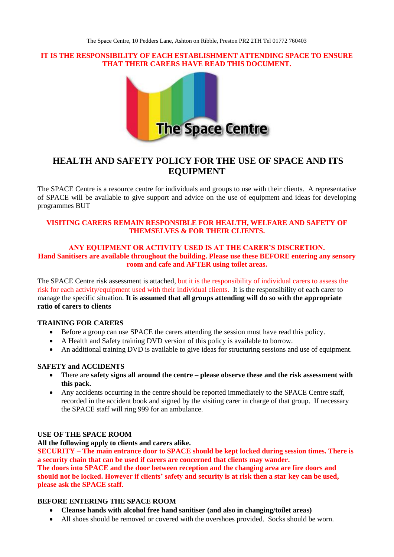### **IT IS THE RESPONSIBILITY OF EACH ESTABLISHMENT ATTENDING SPACE TO ENSURE THAT THEIR CARERS HAVE READ THIS DOCUMENT.**



# **HEALTH AND SAFETY POLICY FOR THE USE OF SPACE AND ITS EQUIPMENT**

The SPACE Centre is a resource centre for individuals and groups to use with their clients. A representative of SPACE will be available to give support and advice on the use of equipment and ideas for developing programmes BUT

# **VISITING CARERS REMAIN RESPONSIBLE FOR HEALTH, WELFARE AND SAFETY OF THEMSELVES & FOR THEIR CLIENTS.**

#### **ANY EQUIPMENT OR ACTIVITY USED IS AT THE CARER'S DISCRETION. Hand Sanitisers are available throughout the building. Please use these BEFORE entering any sensory room and cafe and AFTER using toilet areas.**

The SPACE Centre risk assessment is attached, but it is the responsibility of individual carers to assess the risk for each activity/equipment used with their individual clients. It is the responsibility of each carer to manage the specific situation. **It is assumed that all groups attending will do so with the appropriate ratio of carers to clients**

# **TRAINING FOR CARERS**

- Before a group can use SPACE the carers attending the session must have read this policy.
- A Health and Safety training DVD version of this policy is available to borrow.
- An additional training DVD is available to give ideas for structuring sessions and use of equipment.

# **SAFETY and ACCIDENTS**

- There are **safety signs all around the centre – please observe these and the risk assessment with this pack.**
- Any accidents occurring in the centre should be reported immediately to the SPACE Centre staff, recorded in the accident book and signed by the visiting carer in charge of that group. If necessary the SPACE staff will ring 999 for an ambulance.

#### **USE OF THE SPACE ROOM**

**All the following apply to clients and carers alike.** 

**SECURITY – The main entrance door to SPACE should be kept locked during session times. There is a security chain that can be used if carers are concerned that clients may wander. The doors into SPACE and the door between reception and the changing area are fire doors and should not be locked. However if clients' safety and security is at risk then a star key can be used, please ask the SPACE staff.**

# **BEFORE ENTERING THE SPACE ROOM**

- **Cleanse hands with alcohol free hand sanitiser (and also in changing/toilet areas)**
- All shoes should be removed or covered with the overshoes provided. Socks should be worn.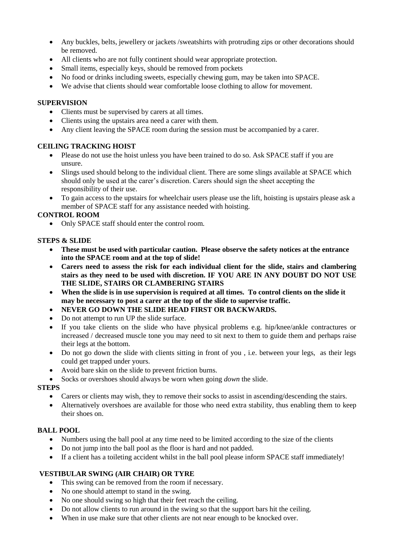- Any buckles, belts, jewellery or jackets /sweatshirts with protruding zips or other decorations should be removed.
- All clients who are not fully continent should wear appropriate protection.
- Small items, especially keys, should be removed from pockets
- No food or drinks including sweets, especially chewing gum, may be taken into SPACE.
- We advise that clients should wear comfortable loose clothing to allow for movement.

# **SUPERVISION**

- Clients must be supervised by carers at all times.
- Clients using the upstairs area need a carer with them.
- Any client leaving the SPACE room during the session must be accompanied by a carer.

# **CEILING TRACKING HOIST**

- Please do not use the hoist unless you have been trained to do so. Ask SPACE staff if you are unsure.
- Slings used should belong to the individual client. There are some slings available at SPACE which should only be used at the carer's discretion. Carers should sign the sheet accepting the responsibility of their use.
- To gain access to the upstairs for wheelchair users please use the lift, hoisting is upstairs please ask a member of SPACE staff for any assistance needed with hoisting.

# **CONTROL ROOM**

• Only SPACE staff should enter the control room.

### **STEPS & SLIDE**

- **These must be used with particular caution. Please observe the safety notices at the entrance into the SPACE room and at the top of slide!**
- **Carers need to assess the risk for each individual client for the slide, stairs and clambering stairs as they need to be used with discretion. IF YOU ARE IN ANY DOUBT DO NOT USE THE SLIDE, STAIRS OR CLAMBERING STAIRS**
- **When the slide is in use supervision is required at all times. To control clients on the slide it may be necessary to post a carer at the top of the slide to supervise traffic.**
- **NEVER GO DOWN THE SLIDE HEAD FIRST OR BACKWARDS.**
- Do not attempt to run UP the slide surface.
- If you take clients on the slide who have physical problems e.g. hip/knee/ankle contractures or increased / decreased muscle tone you may need to sit next to them to guide them and perhaps raise their legs at the bottom.
- Do not go down the slide with clients sitting in front of you , i.e. between your legs, as their legs could get trapped under yours.
- Avoid bare skin on the slide to prevent friction burns.
- Socks or overshoes should always be worn when going *down* the slide.

# **STEPS**

- Carers or clients may wish, they to remove their socks to assist in ascending/descending the stairs.
- Alternatively overshoes are available for those who need extra stability, thus enabling them to keep their shoes on.

#### **BALL POOL**

- Numbers using the ball pool at any time need to be limited according to the size of the clients
- Do not jump into the ball pool as the floor is hard and not padded.
- If a client has a toileting accident whilst in the ball pool please inform SPACE staff immediately!

# **VESTIBULAR SWING (AIR CHAIR) OR TYRE**

- This swing can be removed from the room if necessary.
- No one should attempt to stand in the swing.
- No one should swing so high that their feet reach the ceiling.
- Do not allow clients to run around in the swing so that the support bars hit the ceiling.
- When in use make sure that other clients are not near enough to be knocked over.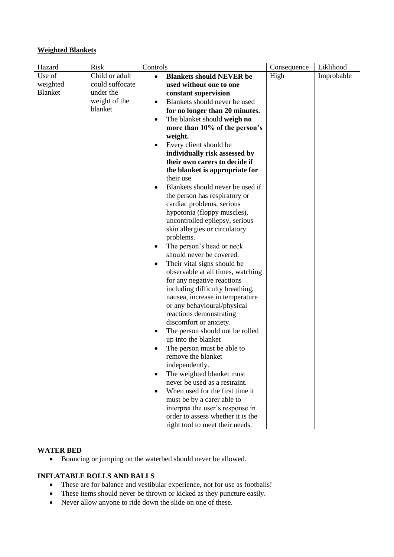# **Weighted Blankets**

| Hazard<br><b>Risk</b>       | Controls                                                   | Consequence | Liklihood  |
|-----------------------------|------------------------------------------------------------|-------------|------------|
| Use of<br>Child or adult    | <b>Blankets should NEVER be</b><br>$\bullet$               | High        | Improbable |
| could suffocate<br>weighted | used without one to one                                    |             |            |
| <b>Blanket</b><br>under the | constant supervision                                       |             |            |
| weight of the               | Blankets should never be used                              |             |            |
| blanket                     | for no longer than 20 minutes.                             |             |            |
|                             | The blanket should weigh no                                |             |            |
|                             | more than 10% of the person's                              |             |            |
|                             | weight.                                                    |             |            |
|                             | Every client should be                                     |             |            |
|                             | individually risk assessed by                              |             |            |
|                             | their own carers to decide if                              |             |            |
|                             | the blanket is appropriate for                             |             |            |
|                             | their use                                                  |             |            |
|                             | Blankets should never be used if                           |             |            |
|                             | the person has respiratory or                              |             |            |
|                             | cardiac problems, serious                                  |             |            |
|                             | hypotonia (floppy muscles),                                |             |            |
|                             | uncontrolled epilepsy, serious                             |             |            |
|                             | skin allergies or circulatory                              |             |            |
|                             | problems.                                                  |             |            |
|                             | The person's head or neck                                  |             |            |
|                             | should never be covered.                                   |             |            |
|                             | Their vital signs should be<br>٠                           |             |            |
|                             | observable at all times, watching                          |             |            |
|                             | for any negative reactions                                 |             |            |
|                             | including difficulty breathing,                            |             |            |
|                             | nausea, increase in temperature                            |             |            |
|                             | or any behavioural/physical                                |             |            |
|                             | reactions demonstrating                                    |             |            |
|                             | discomfort or anxiety.                                     |             |            |
|                             | The person should not be rolled                            |             |            |
|                             | up into the blanket                                        |             |            |
|                             | The person must be able to                                 |             |            |
|                             | remove the blanket<br>independently.                       |             |            |
|                             |                                                            |             |            |
|                             | The weighted blanket must<br>never be used as a restraint. |             |            |
|                             | When used for the first time it                            |             |            |
|                             | must be by a carer able to                                 |             |            |
|                             | interpret the user's response in                           |             |            |
|                             | order to assess whether it is the                          |             |            |
|                             | right tool to meet their needs.                            |             |            |

### **WATER BED**

Bouncing or jumping on the waterbed should never be allowed.

# **INFLATABLE ROLLS AND BALLS**

- These are for balance and vestibular experience, not for use as footballs!
- These items should never be thrown or kicked as they puncture easily.
- Never allow anyone to ride down the slide on one of these.